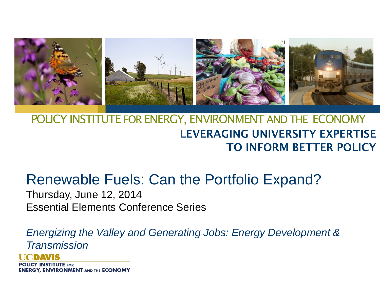

#### POLICY INSTITUTE FOR ENERGY, ENVIRONMENT AND THE ECONOMY LEVERAGING UNIVERSITY EXPERTISE TO INFORM BETTER POLICY

# Renewable Fuels: Can the Portfolio Expand?

Thursday, June 12, 2014 Essential Elements Conference Series

*Energizing the Valley and Generating Jobs: Energy Development & Transmission* 

#### **UCDAVIS POLICY INSTITUTE FOR ENERGY, ENVIRONMENT AND THE ECONOMY**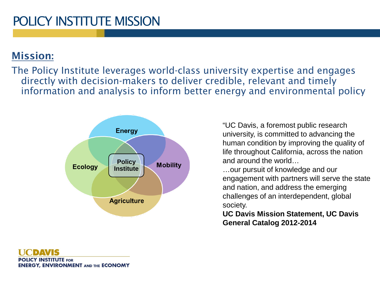#### Mission:

The Policy Institute leverages world-class university expertise and engages directly with decision-makers to deliver credible, relevant and timely information and analysis to inform better energy and environmental policy



"UC Davis, a foremost public research university, is committed to advancing the human condition by improving the quality of life throughout California, across the nation and around the world…

…our pursuit of knowledge and our engagement with partners will serve the state and nation, and address the emerging challenges of an interdependent, global society.

**UC Davis Mission Statement, UC Davis General Catalog 2012-2014**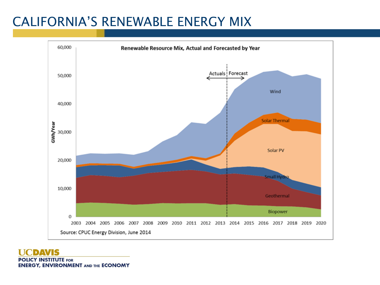### CALIFORNIA'S RENEWABLE ENERGY MIX

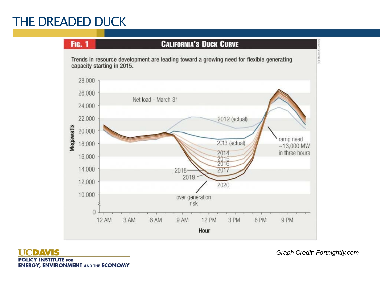#### THE DREADED DUCK



*Graph Credit: Fortnightly.com*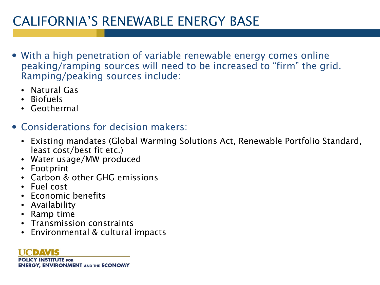## CALIFORNIA'S RENEWABLE ENERGY BASE

- With a high penetration of variable renewable energy comes online peaking/ramping sources will need to be increased to "firm" the grid. Ramping/peaking sources include:
	- Natural Gas
	- Biofuels
	- Geothermal
- Considerations for decision makers:
	- Existing mandates (Global Warming Solutions Act, Renewable Portfolio Standard, least cost/best fit etc.)
	- Water usage/MW produced
	- Footprint
	- Carbon & other GHG emissions
	- Fuel cost
	- Economic benefits
	- Availability
	- Ramp time
	- Transmission constraints
	- Environmental & cultural impacts

**INSTITUTE FOR ENERGY, ENVIRONMENT AND THE ECONOMY**